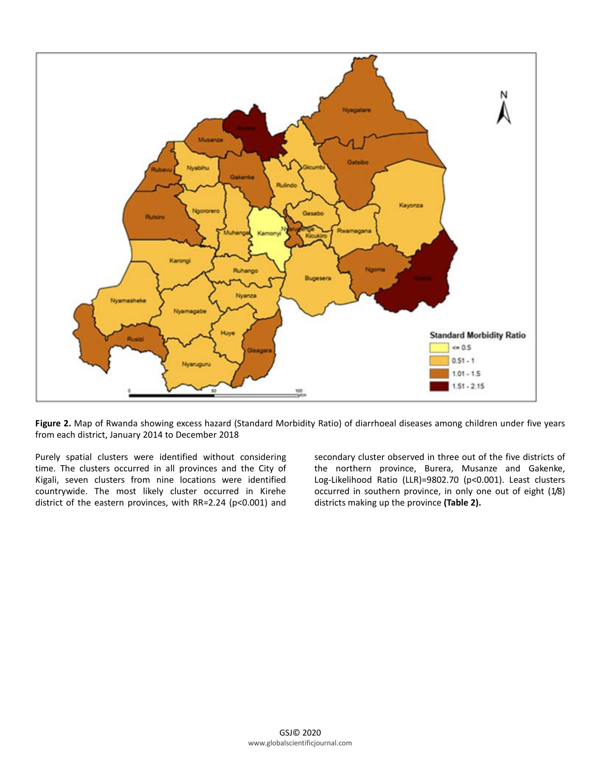

**Figure 2.** Map of Rwanda showing excess hazard (Standard Morbidity Ratio) of diarrhoeal diseases among children under five years from each district, January 2014 to December 2018

Purely spatial clusters were identified without considering time. The clusters occurred in all provinces and the City of Kigali, seven clusters from nine locations were identified countrywide. The most likely cluster occurred in Kirehe district of the eastern provinces, with RR=2.24 (p<0.001) and secondary cluster observed in three out of the five districts of the northern province, Burera, Musanze and Gakenke, Log-Likelihood Ratio (LLR)=9802.70 (p<0.001). Least clusters occurred in southern province, in only one out of eight (1/8) districts making up the province **(Table 2).**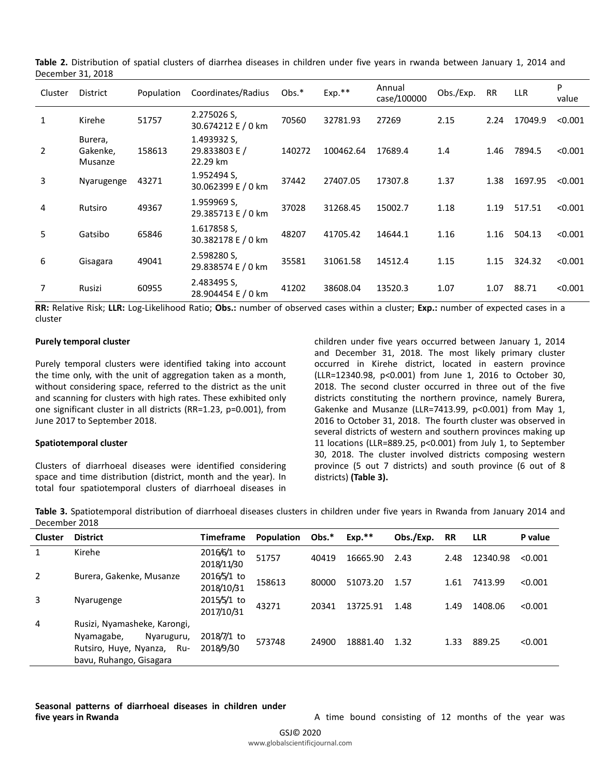|                | DUULIINUI JI, LUIU             |            |                                          |         |           |                       |           |           |            |            |
|----------------|--------------------------------|------------|------------------------------------------|---------|-----------|-----------------------|-----------|-----------|------------|------------|
| Cluster        | District                       | Population | Coordinates/Radius                       | $Obs.*$ | Exp.**    | Annual<br>case/100000 | Obs./Exp. | <b>RR</b> | <b>LLR</b> | P<br>value |
| 1              | Kirehe                         | 51757      | 2.275026 S,<br>30.674212 E / 0 km        | 70560   | 32781.93  | 27269                 | 2.15      | 2.24      | 17049.9    | < 0.001    |
| $\overline{2}$ | Burera,<br>Gakenke,<br>Musanze | 158613     | 1.493932 S,<br>29.833803 E /<br>22.29 km | 140272  | 100462.64 | 17689.4               | 1.4       | 1.46      | 7894.5     | < 0.001    |
| 3              | Nyarugenge                     | 43271      | 1.952494 S,<br>30.062399 E / 0 km        | 37442   | 27407.05  | 17307.8               | 1.37      | 1.38      | 1697.95    | < 0.001    |
| 4              | Rutsiro                        | 49367      | 1.959969 S,<br>29.385713 E / 0 km        | 37028   | 31268.45  | 15002.7               | 1.18      | 1.19      | 517.51     | < 0.001    |
| 5              | Gatsibo                        | 65846      | 1.617858 S,<br>30.382178 E / 0 km        | 48207   | 41705.42  | 14644.1               | 1.16      | 1.16      | 504.13     | < 0.001    |
| 6              | Gisagara                       | 49041      | 2.598280 S,<br>29.838574 E / 0 km        | 35581   | 31061.58  | 14512.4               | 1.15      | 1.15      | 324.32     | < 0.001    |
| 7              | Rusizi                         | 60955      | 2.483495 S,<br>28.904454 E / 0 km        | 41202   | 38608.04  | 13520.3               | 1.07      | 1.07      | 88.71      | < 0.001    |

**Table 2.** Distribution of spatial clusters of diarrhea diseases in children under five years in rwanda between January 1, 2014 and December 31, 2018

**RR:** Relative Risk; **LLR:** Log-Likelihood Ratio; **Obs.:** number of observed cases within a cluster; **Exp.:** number of expected cases in a cluster

#### **Purely temporal cluster**

Purely temporal clusters were identified taking into account the time only, with the unit of aggregation taken as a month, without considering space, referred to the district as the unit and scanning for clusters with high rates. These exhibited only one significant cluster in all districts (RR=1.23, p=0.001), from June 2017 to September 2018.

### **Spatiotemporal cluster**

Clusters of diarrhoeal diseases were identified considering space and time distribution (district, month and the year). In total four spatiotemporal clusters of diarrhoeal diseases in children under five years occurred between January 1, 2014 and December 31, 2018. The most likely primary cluster occurred in Kirehe district, located in eastern province (LLR=12340.98, p<0.001) from June 1, 2016 to October 30, 2018. The second cluster occurred in three out of the five districts constituting the northern province, namely Burera, Gakenke and Musanze (LLR=7413.99, p<0.001) from May 1, 2016 to October 31, 2018. The fourth cluster was observed in several districts of western and southern provinces making up 11 locations (LLR=889.25, p<0.001) from July 1, to September 30, 2018. The cluster involved districts composing western province (5 out 7 districts) and south province (6 out of 8 districts) **(Table 3).**

**Table 3.** Spatiotemporal distribution of diarrhoeal diseases clusters in children under five years in Rwanda from January 2014 and December 2018

| <b>Cluster</b> | <b>District</b>                                                                                                      | <b>Timeframe</b>          | Population | $Obs.*$ | $Exp.**$ | Obs./Exp. | <b>RR</b> | <b>LLR</b> | P value |
|----------------|----------------------------------------------------------------------------------------------------------------------|---------------------------|------------|---------|----------|-----------|-----------|------------|---------|
|                | Kirehe                                                                                                               | 2016/6/1 to<br>2018/11/30 | 51757      | 40419   | 16665.90 | 2.43      | 2.48      | 12340.98   | < 0.001 |
| $\overline{2}$ | Burera, Gakenke, Musanze                                                                                             | 2016/5/1 to<br>2018/10/31 | 158613     | 80000   | 51073.20 | 1.57      | 1.61      | 7413.99    | < 0.001 |
| 3              | Nyarugenge                                                                                                           | 2015/5/1 to<br>2017/10/31 | 43271      | 20341   | 13725.91 | 1.48      | 1.49      | 1408.06    | < 0.001 |
| 4              | Rusizi, Nyamasheke, Karongi,<br>Nyamagabe,<br>Nyaruguru,<br>Rutsiro, Huye, Nyanza,<br>Ru-<br>bavu, Ruhango, Gisagara | 2018/7/1 to<br>2018/9/30  | 573748     | 24900   | 18881.40 | 1.32      | 1.33      | 889.25     | < 0.001 |

**Seasonal patterns of diarrhoeal diseases in children under five years in Rwanda A time bound consisting of 12 months of the year was** A time bound consisting of 12 months of the year was

GSJ© 2020 www.globalscientificjournal.com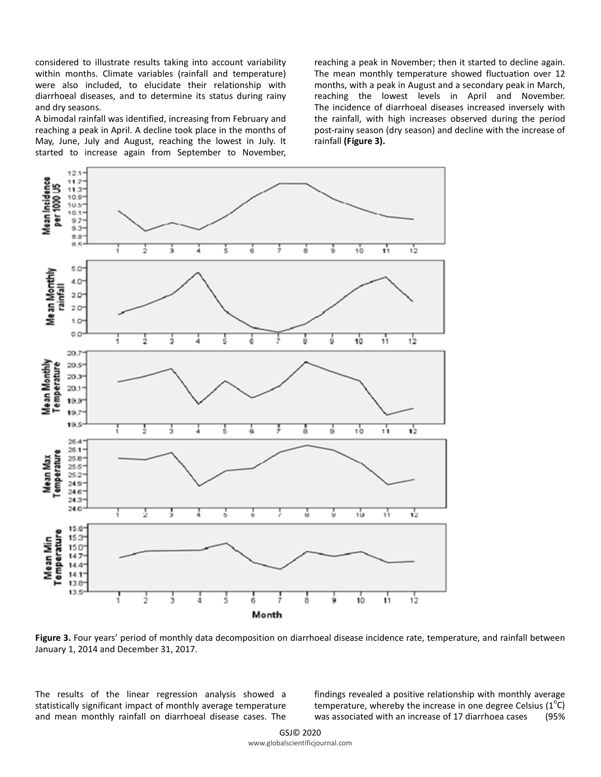considered to illustrate results taking into account variability within months. Climate variables (rainfall and temperature) were also included, to elucidate their relationship with diarrhoeal diseases, and to determine its status during rainy and dry seasons.

A bimodal rainfall was identified, increasing from February and reaching a peak in April. A decline took place in the months of May, June, July and August, reaching the lowest in July. It started to increase again from September to November,

reaching a peak in November; then it started to decline again. The mean monthly temperature showed fluctuation over 12 months, with a peak in August and a secondary peak in March, reaching the lowest levels in April and November. The incidence of diarrhoeal diseases increased inversely with the rainfall, with high increases observed during the period post-rainy season (dry season) and decline with the increase of rainfall **(Figure 3).**



**Figure 3.** Four years' period of monthly data decomposition on diarrhoeal disease incidence rate, temperature, and rainfall between January 1, 2014 and December 31, 2017.

The results of the linear regression analysis showed a statistically significant impact of monthly average temperature and mean monthly rainfall on diarrhoeal disease cases. The

findings revealed a positive relationship with monthly average temperature, whereby the increase in one degree Celsius (1<sup>o</sup>C) was associated with an increase of 17 diarrhoea cases (95%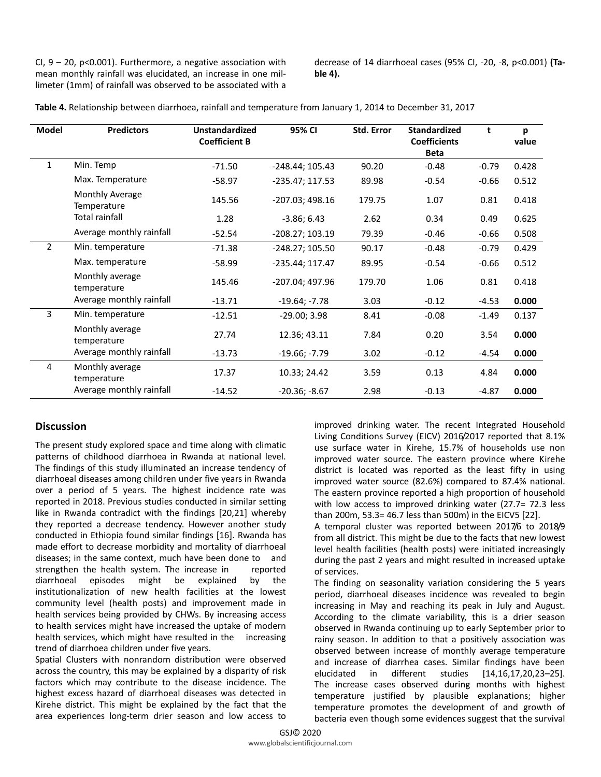CI,  $9 - 20$ ,  $p < 0.001$ ). Furthermore, a negative association with mean monthly rainfall was elucidated, an increase in one millimeter (1mm) of rainfall was observed to be associated with a decrease of 14 diarrhoeal cases (95% CI, -20, -8, p<0.001) **(Table 4).**

| Table 4. Relationship between diarrhoea, rainfall and temperature from January 1, 2014 to December 31, 2017 |  |  |  |
|-------------------------------------------------------------------------------------------------------------|--|--|--|
|-------------------------------------------------------------------------------------------------------------|--|--|--|

| <b>Model</b>   | <b>Predictors</b>              | <b>Unstandardized</b><br><b>Coefficient B</b> | 95% CI            | Std. Error | <b>Standardized</b><br><b>Coefficients</b><br><b>Beta</b> | t       | p<br>value |
|----------------|--------------------------------|-----------------------------------------------|-------------------|------------|-----------------------------------------------------------|---------|------------|
| $\mathbf{1}$   | Min. Temp                      | $-71.50$                                      | -248.44; 105.43   | 90.20      | $-0.48$                                                   | $-0.79$ | 0.428      |
|                | Max. Temperature               | $-58.97$                                      | -235.47; 117.53   | 89.98      | $-0.54$                                                   | $-0.66$ | 0.512      |
|                | Monthly Average<br>Temperature | 145.56                                        | $-207.03; 498.16$ | 179.75     | 1.07                                                      | 0.81    | 0.418      |
|                | <b>Total rainfall</b>          | 1.28                                          | $-3.86; 6.43$     | 2.62       | 0.34                                                      | 0.49    | 0.625      |
|                | Average monthly rainfall       | $-52.54$                                      | -208.27; 103.19   | 79.39      | $-0.46$                                                   | $-0.66$ | 0.508      |
| $\overline{2}$ | Min. temperature               | $-71.38$                                      | -248.27; 105.50   | 90.17      | $-0.48$                                                   | $-0.79$ | 0.429      |
|                | Max. temperature               | $-58.99$                                      | -235.44; 117.47   | 89.95      | $-0.54$                                                   | $-0.66$ | 0.512      |
|                | Monthly average<br>temperature | 145.46                                        | -207.04; 497.96   | 179.70     | 1.06                                                      | 0.81    | 0.418      |
|                | Average monthly rainfall       | $-13.71$                                      | $-19.64; -7.78$   | 3.03       | $-0.12$                                                   | $-4.53$ | 0.000      |
| 3              | Min. temperature               | $-12.51$                                      | $-29.00; 3.98$    | 8.41       | $-0.08$                                                   | $-1.49$ | 0.137      |
|                | Monthly average<br>temperature | 27.74                                         | 12.36; 43.11      | 7.84       | 0.20                                                      | 3.54    | 0.000      |
|                | Average monthly rainfall       | $-13.73$                                      | $-19.66; -7.79$   | 3.02       | $-0.12$                                                   | -4.54   | 0.000      |
| 4              | Monthly average<br>temperature | 17.37                                         | 10.33; 24.42      | 3.59       | 0.13                                                      | 4.84    | 0.000      |
|                | Average monthly rainfall       | $-14.52$                                      | $-20.36; -8.67$   | 2.98       | $-0.13$                                                   | $-4.87$ | 0.000      |

# **Discussion**

The present study explored space and time along with climatic patterns of childhood diarrhoea in Rwanda at national level. The findings of this study illuminated an increase tendency of diarrhoeal diseases among children under five years in Rwanda over a period of 5 years. The highest incidence rate was reported in 2018. Previous studies conducted in similar setting like in Rwanda contradict with the findings [20,21] whereby they reported a decrease tendency. However another study conducted in Ethiopia found similar findings [16]. Rwanda has made effort to decrease morbidity and mortality of diarrhoeal diseases; in the same context, much have been done to and strengthen the health system. The increase in reported diarrhoeal episodes might be explained by the institutionalization of new health facilities at the lowest community level (health posts) and improvement made in health services being provided by CHWs. By increasing access to health services might have increased the uptake of modern health services, which might have resulted in the increasing trend of diarrhoea children under five years.

Spatial Clusters with nonrandom distribution were observed across the country, this may be explained by a disparity of risk factors which may contribute to the disease incidence. The highest excess hazard of diarrhoeal diseases was detected in Kirehe district. This might be explained by the fact that the area experiences long-term drier season and low access to

improved drinking water. The recent Integrated Household Living Conditions Survey (EICV) 2016/2017 reported that 8.1% use surface water in Kirehe, 15.7% of households use non improved water source. The eastern province where Kirehe district is located was reported as the least fifty in using improved water source (82.6%) compared to 87.4% national. The eastern province reported a high proportion of household with low access to improved drinking water (27.7= 72.3 less than 200m, 53.3= 46.7 less than 500m) in the EICV5 [22].

A temporal cluster was reported between 2017/6 to 2018/9 from all district. This might be due to the facts that new lowest level health facilities (health posts) were initiated increasingly during the past 2 years and might resulted in increased uptake of services.

The finding on seasonality variation considering the 5 years period, diarrhoeal diseases incidence was revealed to begin increasing in May and reaching its peak in July and August. According to the climate variability, this is a drier season observed in Rwanda continuing up to early September prior to rainy season. In addition to that a positively association was observed between increase of monthly average temperature and increase of diarrhea cases. Similar findings have been elucidated in different studies [14,16,17,20,23–25]. The increase cases observed during months with highest temperature justified by plausible explanations; higher temperature promotes the development of and growth of bacteria even though some evidences suggest that the survival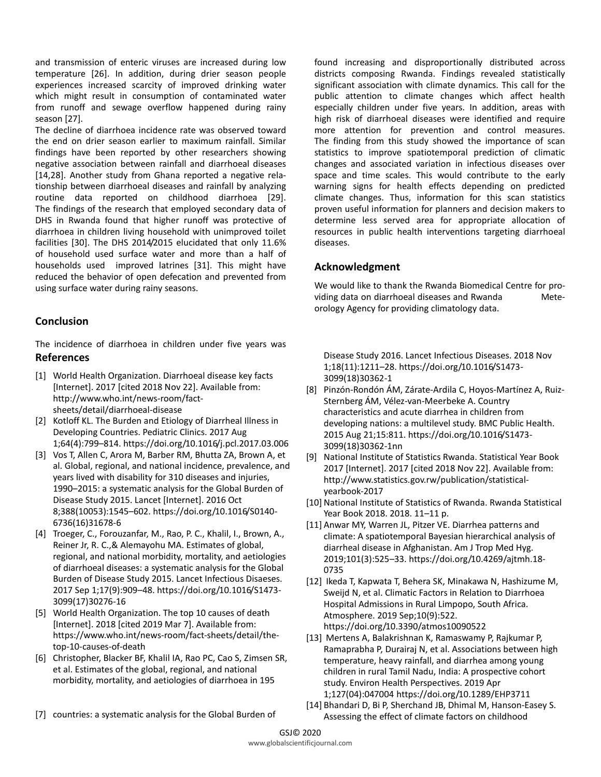and transmission of enteric viruses are increased during low temperature [26]. In addition, during drier season people experiences increased scarcity of improved drinking water which might result in consumption of contaminated water from runoff and sewage overflow happened during rainy season [27].

The decline of diarrhoea incidence rate was observed toward the end on drier season earlier to maximum rainfall. Similar findings have been reported by other researchers showing negative association between rainfall and diarrhoeal diseases [14,28]. Another study from Ghana reported a negative relationship between diarrhoeal diseases and rainfall by analyzing routine data reported on childhood diarrhoea [29]. The findings of the research that employed secondary data of DHS in Rwanda found that higher runoff was protective of diarrhoea in children living household with unimproved toilet facilities [30]. The DHS 2014/2015 elucidated that only 11.6% of household used surface water and more than a half of households used improved latrines [31]. This might have reduced the behavior of open defecation and prevented from using surface water during rainy seasons.

## **Conclusion**

The incidence of diarrhoea in children under five years was **References**

- [1] World Health Organization. Diarrhoeal disease key facts [Internet]. 2017 [cited 2018 Nov 22]. Available from: http://www.who.int/news-room/factsheets/detail/diarrhoeal-disease
- [2] Kotloff KL. The Burden and Etiology of Diarrheal Illness in Developing Countries. Pediatric Clinics. 2017 Aug 1;64(4):799–814. https://doi.org/10.1016/j.pcl.2017.03.006
- [3] Vos T, Allen C, Arora M, Barber RM, Bhutta ZA, Brown A, et al. Global, regional, and national incidence, prevalence, and years lived with disability for 310 diseases and injuries, 1990–2015: a systematic analysis for the Global Burden of Disease Study 2015. Lancet [Internet]. 2016 Oct 8;388(10053):1545–602. https://doi.org/10.1016/S0140- 6736(16)31678-6
- [4] Troeger, C., Forouzanfar, M., Rao, P. C., Khalil, I., Brown, A., Reiner Jr, R. C.,& Alemayohu MA. Estimates of global, regional, and national morbidity, mortality, and aetiologies of diarrhoeal diseases: a systematic analysis for the Global Burden of Disease Study 2015. Lancet Infectious Disaeses. 2017 Sep 1;17(9):909–48. https://doi.org/10.1016/S1473- 3099(17)30276-16
- [5] World Health Organization. The top 10 causes of death [Internet]. 2018 [cited 2019 Mar 7]. Available from: https://www.who.int/news-room/fact-sheets/detail/thetop-10-causes-of-death
- [6] Christopher, Blacker BF, Khalil IA, Rao PC, Cao S, Zimsen SR, et al. Estimates of the global, regional, and national morbidity, mortality, and aetiologies of diarrhoea in 195

found increasing and disproportionally distributed across districts composing Rwanda. Findings revealed statistically significant association with climate dynamics. This call for the public attention to climate changes which affect health especially children under five years. In addition, areas with high risk of diarrhoeal diseases were identified and require more attention for prevention and control measures. The finding from this study showed the importance of scan statistics to improve spatiotemporal prediction of climatic changes and associated variation in infectious diseases over space and time scales. This would contribute to the early warning signs for health effects depending on predicted climate changes. Thus, information for this scan statistics proven useful information for planners and decision makers to determine less served area for appropriate allocation of resources in public health interventions targeting diarrhoeal diseases.

### **Acknowledgment**

We would like to thank the Rwanda Biomedical Centre for providing data on diarrhoeal diseases and Rwanda Meteorology Agency for providing climatology data.

Disease Study 2016. Lancet Infectious Diseases. 2018 Nov 1;18(11):1211–28. https://doi.org/10.1016/S1473- 3099(18)30362-1

- [8] Pinzón-Rondón ÁM, Zárate-Ardila C, Hoyos-Martínez A, Ruiz-Sternberg ÁM, Vélez-van-Meerbeke A. Country characteristics and acute diarrhea in children from developing nations: a multilevel study. BMC Public Health. 2015 Aug 21;15:811. https://doi.org/10.1016/S1473- 3099(18)30362-1nn
- [9] National Institute of Statistics Rwanda. Statistical Year Book 2017 [Internet]. 2017 [cited 2018 Nov 22]. Available from: http://www.statistics.gov.rw/publication/statisticalyearbook-2017
- [10] National Institute of Statistics of Rwanda. Rwanda Statistical Year Book 2018. 2018. 11–11 p.
- [11] Anwar MY, Warren JL, Pitzer VE. Diarrhea patterns and climate: A spatiotemporal Bayesian hierarchical analysis of diarrheal disease in Afghanistan. Am J Trop Med Hyg. 2019;101(3):525–33. https://doi.org/10.4269/ajtmh.18- 0735
- [12] Ikeda T, Kapwata T, Behera SK, Minakawa N, Hashizume M, Sweijd N, et al. Climatic Factors in Relation to Diarrhoea Hospital Admissions in Rural Limpopo, South Africa. Atmosphere. 2019 Sep;10(9):522. https://doi.org/10.3390/atmos10090522
- [13] Mertens A, Balakrishnan K, Ramaswamy P, Rajkumar P, Ramaprabha P, Durairaj N, et al. Associations between high temperature, heavy rainfall, and diarrhea among young children in rural Tamil Nadu, India: A prospective cohort study. Environ Health Perspectives. 2019 Apr 1;127(04):047004 https://doi.org/10.1289/EHP3711
- [14] Bhandari D, Bi P, Sherchand JB, Dhimal M, Hanson-Easey S. Assessing the effect of climate factors on childhood
- [7] countries: a systematic analysis for the Global Burden of

300